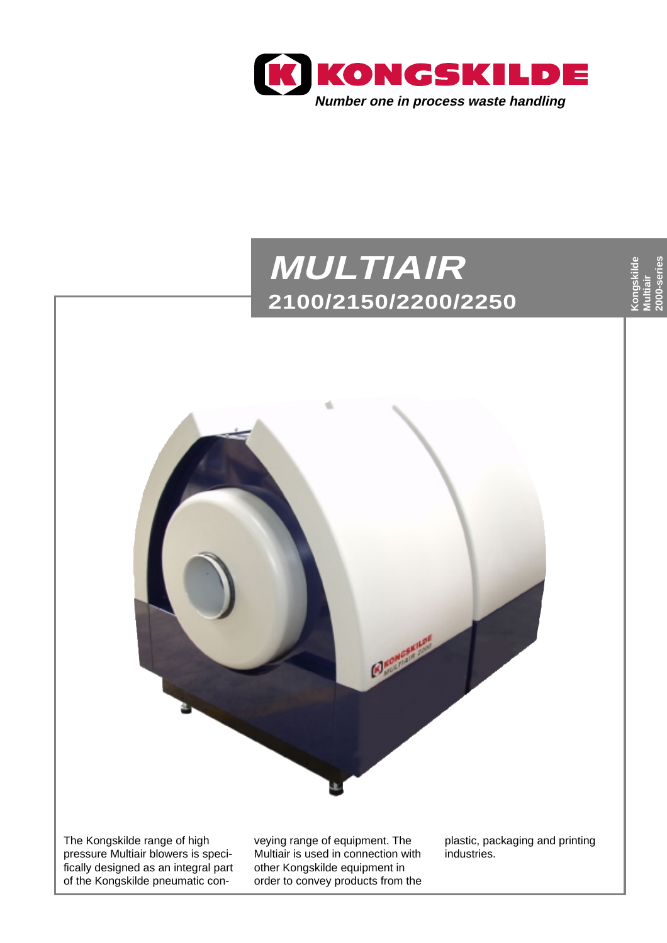



The Kongskilde range of high pressure Multiair blowers is specifically designed as an integral part of the Kongskilde pneumatic conveying range of equipment. The Multiair is used in connection with other Kongskilde equipment in order to convey products from the plastic, packaging and printing industries.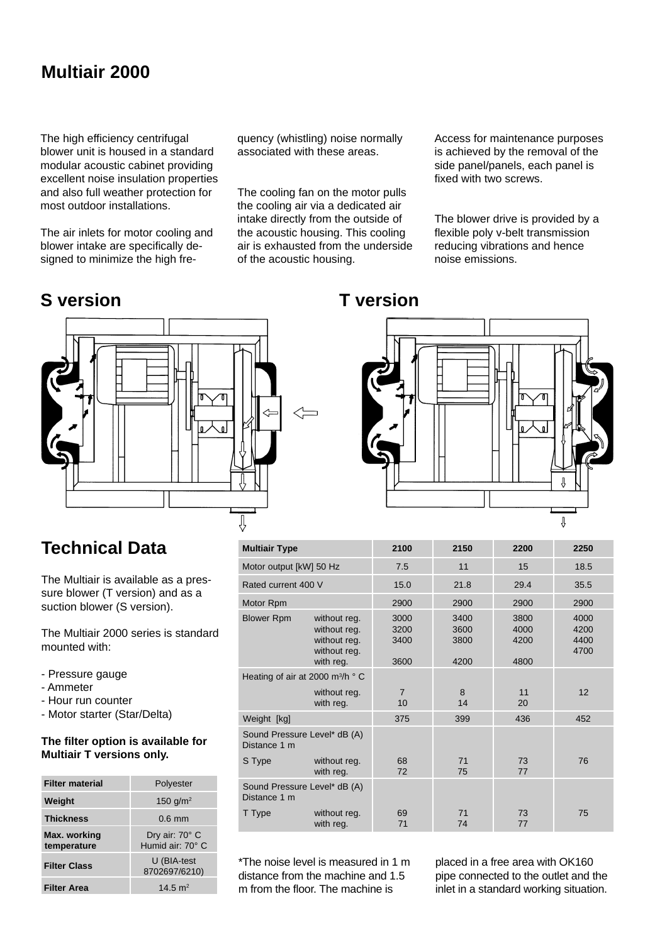# **Multiair 2000**

The high efficiency centrifugal blower unit is housed in a standard modular acoustic cabinet providing excellent noise insulation properties and also full weather protection for most outdoor installations.

The air inlets for motor cooling and blower intake are specifically designed to minimize the high fre-

#### quency (whistling) noise normally associated with these areas.

The cooling fan on the motor pulls the cooling air via a dedicated air intake directly from the outside of the acoustic housing. This cooling air is exhausted from the underside of the acoustic housing.

Access for maintenance purposes is achieved by the removal of the side panel/panels, each panel is fixed with two screws.

The blower drive is provided by a flexible poly v-belt transmission reducing vibrations and hence noise emissions.





# **Technical Data**

The Multiair is available as a pressure blower (T version) and as a suction blower (S version).

The Multiair 2000 series is standard mounted with:

- Pressure gauge
- Ammeter
- Hour run counter
- Motor starter (Star/Delta)

### **The filter option is available for Multiair T versions only.**

| <b>Filter material</b>      | Polyester                          |  |  |
|-----------------------------|------------------------------------|--|--|
| Weight                      | 150 g/m <sup>2</sup>               |  |  |
| <b>Thickness</b>            | $0.6$ mm                           |  |  |
| Max. working<br>temperature | Dry air: 70° C<br>Humid air: 70° C |  |  |
| <b>Filter Class</b>         | U (BIA-test<br>8702697/6210)       |  |  |
| <b>Filter Area</b>          | $14.5 \text{ m}^2$                 |  |  |

| <b>Multiair Type</b>                         |                                                                           | 2100                         | 2150                         | 2200                         | 2250                         |
|----------------------------------------------|---------------------------------------------------------------------------|------------------------------|------------------------------|------------------------------|------------------------------|
| Motor output [kW] 50 Hz                      |                                                                           | 7.5                          | 11                           | 15                           | 18.5                         |
| Rated current 400 V                          |                                                                           | 15.0                         | 21.8                         | 29.4                         | 35.5                         |
| Motor Rpm                                    |                                                                           | 2900                         | 2900                         | 2900                         | 2900                         |
| <b>Blower Rpm</b>                            | without reg.<br>without reg.<br>without reg.<br>without reg.<br>with reg. | 3000<br>3200<br>3400<br>3600 | 3400<br>3600<br>3800<br>4200 | 3800<br>4000<br>4200<br>4800 | 4000<br>4200<br>4400<br>4700 |
| Heating of air at 2000 $m^3/h$ ° C           |                                                                           |                              |                              |                              |                              |
|                                              | without reg.<br>with reg.                                                 | $\overline{7}$<br>10         | 8<br>14                      | 11<br>20                     | 12                           |
| Weight [kg]                                  |                                                                           | 375                          | 399                          | 436                          | 452                          |
| Sound Pressure Level* dB (A)<br>Distance 1 m |                                                                           |                              |                              |                              |                              |
| S Type                                       | without reg.<br>with reg.                                                 | 68<br>72                     | 71<br>75                     | 73<br>77                     | 76                           |
| Sound Pressure Level* dB (A)<br>Distance 1 m |                                                                           |                              |                              |                              |                              |
| T Type                                       | without reg.<br>with reg.                                                 | 69<br>71                     | 71<br>74                     | 73<br>77                     | 75                           |

\*The noise level is measured in 1 m distance from the machine and 1.5 m from the floor. The machine is

placed in a free area with OK160 pipe connected to the outlet and the inlet in a standard working situation.

# **S version T version**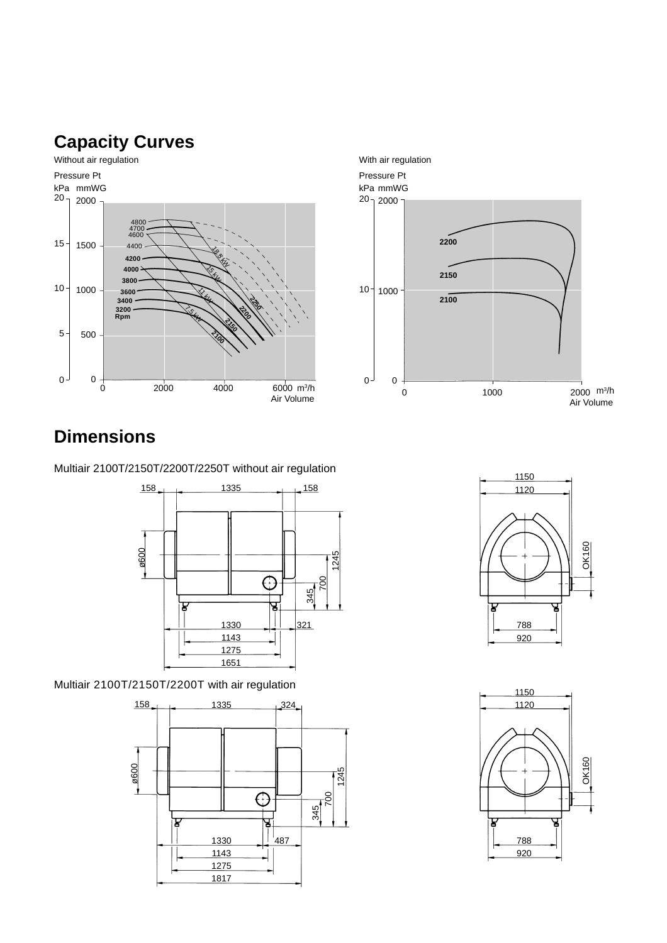# **Capacity Curves**





# **Dimensions**

Multiair 2100T/2150T/2200T/2250T without air regulation



Multiair 2100T/2150T/2200T with air regulation